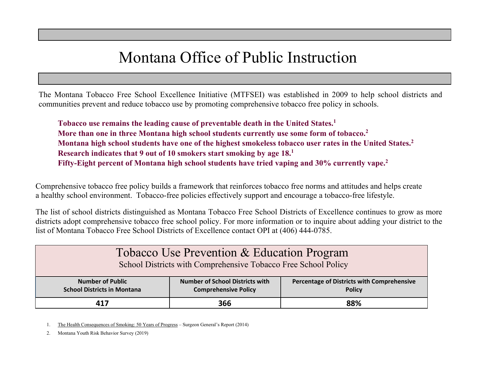## Montana Office of Public Instruction

The Montana Tobacco Free School Excellence Initiative (MTFSEI) was established in 2009 to help school districts and communities prevent and reduce tobacco use by promoting comprehensive tobacco free policy in schools.

**Tobacco use remains the leading cause of preventable death in the United States.1 More than one in three Montana high school students currently use some form of tobacco.2 Montana high school students have one of the highest smokeless tobacco user rates in the United States.2 Research indicates that 9 out of 10 smokers start smoking by age 18.1 Fifty-Eight percent of Montana high school students have tried vaping and 30% currently vape.2**

Comprehensive tobacco free policy builds a framework that reinforces tobacco free norms and attitudes and helps create a healthy school environment. Tobacco-free policies effectively support and encourage a tobacco-free lifestyle.

The list of school districts distinguished as Montana Tobacco Free School Districts of Excellence continues to grow as more districts adopt comprehensive tobacco free school policy. For more information or to inquire about adding your district to the list of Montana Tobacco Free School Districts of Excellence contact OPI at (406) 444-0785.

| Tobacco Use Prevention & Education Program<br>School Districts with Comprehensive Tobacco Free School Policy |                                                                       |                                                             |
|--------------------------------------------------------------------------------------------------------------|-----------------------------------------------------------------------|-------------------------------------------------------------|
| <b>Number of Public</b><br><b>School Districts in Montana</b>                                                | <b>Number of School Districts with</b><br><b>Comprehensive Policy</b> | Percentage of Districts with Comprehensive<br><b>Policy</b> |
| 417                                                                                                          | 366                                                                   | 88%                                                         |

1. The Health Consequences of Smoking: 50 Years of Progress - Surgeon General's Report (2014)

2. Montana Youth Risk Behavior Survey (2019)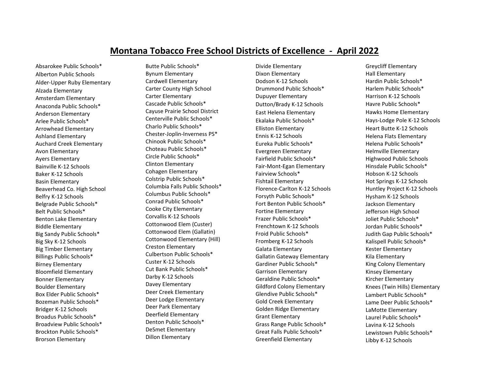## **Montana Tobacco Free School Districts of Excellence - April 2022**

Absarokee Public Schools\* Alberton Public Schools Alder-Upper Ruby Elementary Alzada Elementary Amsterdam Elementary Anaconda Public Schools\* Anderson Elementary Arlee Public Schools\* Arrowhead Elementary Ashland Elementary Auchard Creek Elementary Avon Elementary Ayers Elementary Bainville K-12 Schools Baker K-12 Schools Basin Elementary Beaverhead Co. High School Belfry K-12 Schools Belgrade Public Schools\* Belt Public Schools\* Benton Lake Elementary Biddle Elementary Big Sandy Public Schools\* Big Sky K-12 Schools Big Timber Elementary Billings Public Schools\* Birney Elementary Bloomfield Elementary Bonner Elementary Boulder Elementary Box Elder Public Schools\* Bozeman Public Schools\* Bridger K-12 Schools Broadus Public Schools\* Broadview Public Schools\* Brockton Public Schools\* Brorson Elementary

Butte Public Schools\* Bynum Elementary Cardwell Elementary Carter County High School Carter Elementary Cascade Public Schools\* Cayuse Prairie School District Centerville Public Schools\* Charlo Public Schools\* Chester-Joplin-Inverness PS\* Chinook Public Schools\* Choteau Public Schools\* Circle Public Schools\* Clinton Elementary Cohagen Elementary Colstrip Public Schools\* Columbia Falls Public Schools\* Columbus Public Schools\* Conrad Public Schools\* Cooke City Elementary Corvallis K-12 Schools Cottonwood Elem (Custer) Cottonwood Elem (Gallatin) Cottonwood Elementary (Hill) Creston Elementary Culbertson Public Schools\* Custer K-12 Schools Cut Bank Public Schools\* Darby K-12 Schools Davey Elementary Deer Creek Elementary Deer Lodge Elementary Deer Park Elementary Deerfield Elementary Denton Public Schools\* DeSmet Elementary Dillon Elementary

Divide Elementary Dixon Elementary Dodson K-12 Schools Drummond Public Schools\* Dupuyer Elementary Dutton/Brady K-12 Schools East Helena Elementary Ekalaka Public Schools\* Elliston Elementary Ennis K-12 Schools Eureka Public Schools\* Evergreen Elementary Fairfield Public Schools\* Fair-Mont-Egan Elementary Fairview Schools\* Fishtail Elementary Florence-Carlton K-12 Schools Forsyth Public Schools\* Fort Benton Public Schools\* Fortine Elementary Frazer Public Schools\* Frenchtown K-12 Schools Froid Public Schools\* Fromberg K-12 Schools Galata Elementary Gallatin Gateway Elementary Gardiner Public Schools\* Garrison Elementary Geraldine Public Schools\* Gildford Colony Elementary Glendive Public Schools\* Gold Creek Elementary Golden Ridge Elementary Grant Elementary Grass Range Public Schools\* Great Falls Public Schools\* Greenfield Elementary

Greycliff Elementary Hall Elementary Hardin Public Schools\* Harlem Public Schools\* Harrison K-12 Schools Havre Public Schools\* Hawks Home Elementary Hays-Lodge Pole K-12 Schools Heart Butte K-12 Schools Helena Flats Elementary Helena Public Schools\* Helmville Elementary Highwood Public Schools Hinsdale Public Schools\* Hobson K-12 Schools Hot Springs K-12 Schools Huntley Project K-12 Schools Hysham K-12 Schools Jackson Elementary Jefferson High School Joliet Public Schools\* Jordan Public Schools\* Judith Gap Public Schools\* Kalispell Public Schools\* Kester Elementary Kila Elementary King Colony Elementary Kinsey Elementary Kircher Elementary Knees (Twin Hills) Elementary Lambert Public Schools\* Lame Deer Public Schools\* LaMotte Elementary Laurel Public Schools\* Lavina K-12 Schools Lewistown Public Schools\* Libby K-12 Schools